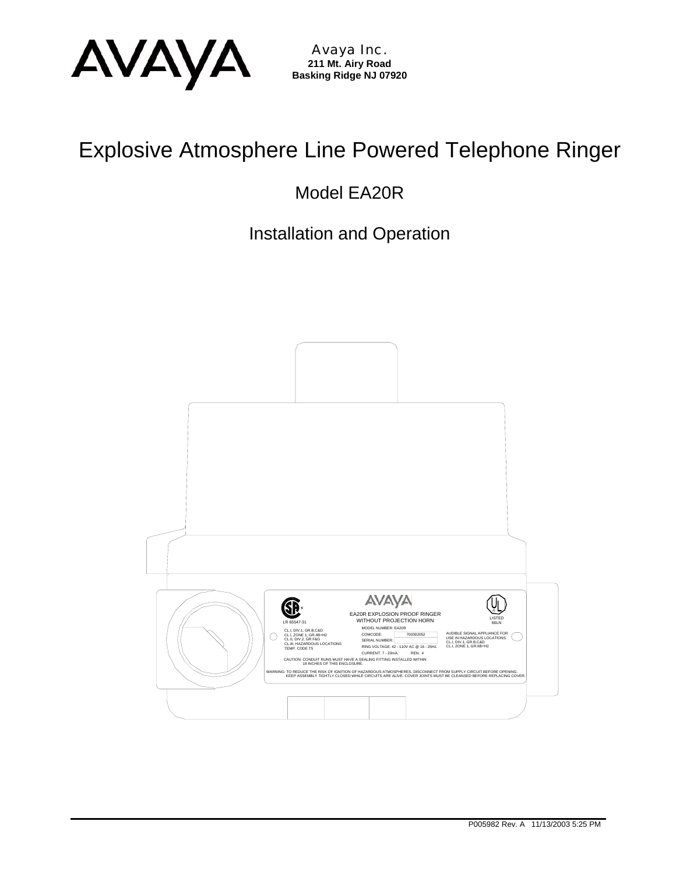

Avaya Inc. **211 Mt. Airy Road Basking Ridge NJ 07920** 

# Explosive Atmosphere Line Powered Telephone Ringer

Model EA20R

Installation and Operation

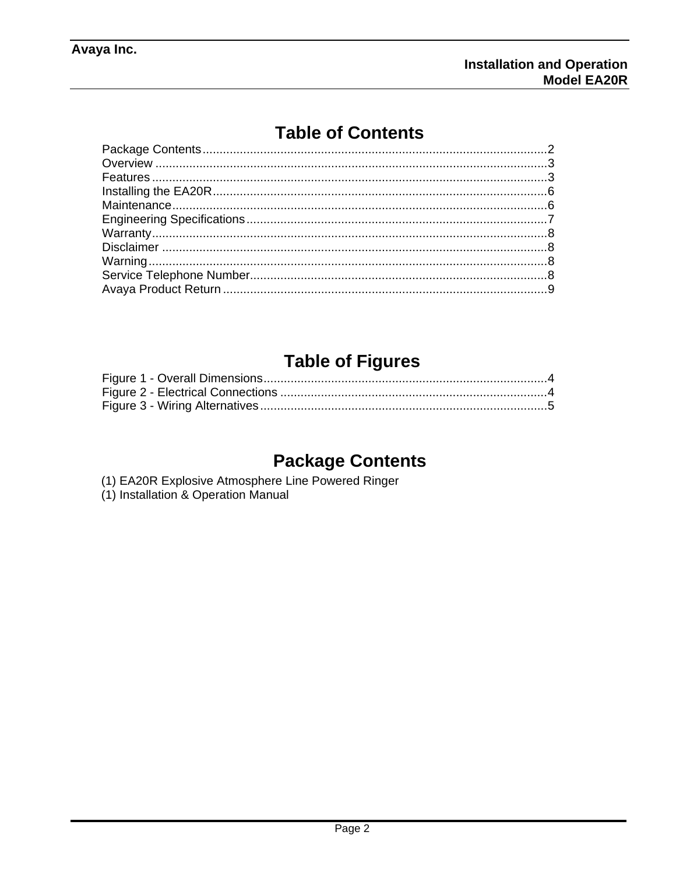# **Table of Contents**

# **Table of Figures**

# **Package Contents**

- (1) EA20R Explosive Atmosphere Line Powered Ringer
- (1) Installation & Operation Manual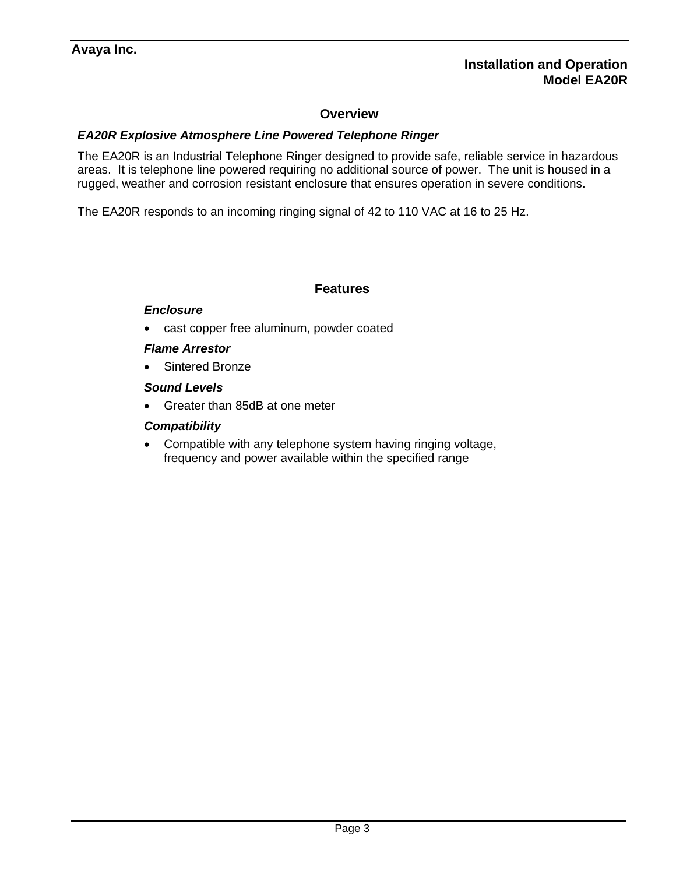### **Overview**

#### *EA20R Explosive Atmosphere Line Powered Telephone Ringer*

The EA20R is an Industrial Telephone Ringer designed to provide safe, reliable service in hazardous areas. It is telephone line powered requiring no additional source of power. The unit is housed in a rugged, weather and corrosion resistant enclosure that ensures operation in severe conditions.

The EA20R responds to an incoming ringing signal of 42 to 110 VAC at 16 to 25 Hz.

#### **Features**

### *Enclosure*

cast copper free aluminum, powder coated

### *Flame Arrestor*

• Sintered Bronze

#### *Sound Levels*

• Greater than 85dB at one meter

### *Compatibility*

• Compatible with any telephone system having ringing voltage, frequency and power available within the specified range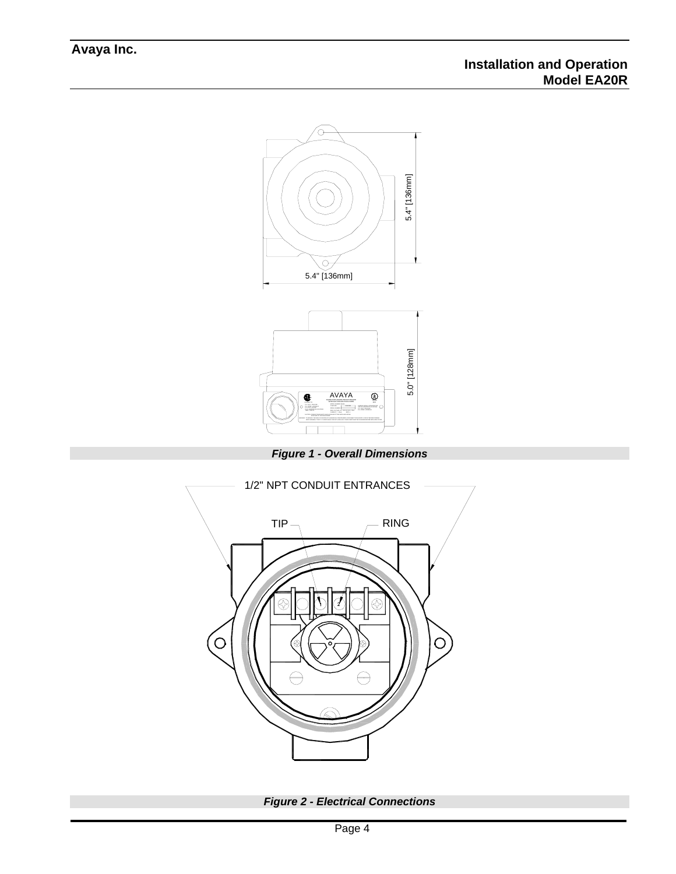

*Figure 1 - Overall Dimensions* 



*Figure 2 - Electrical Connections*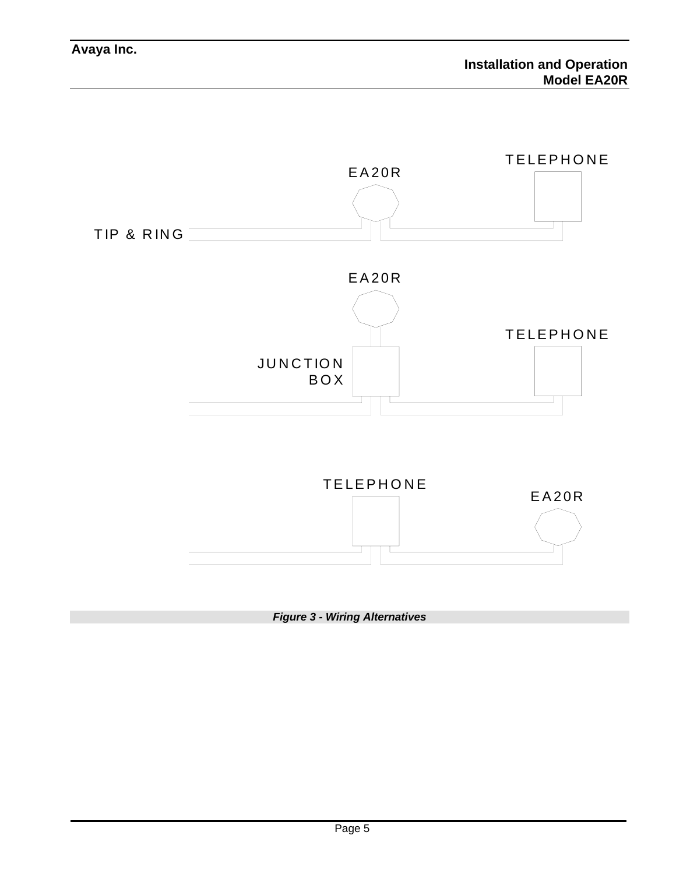

*Figure 3 - Wiring Alternatives*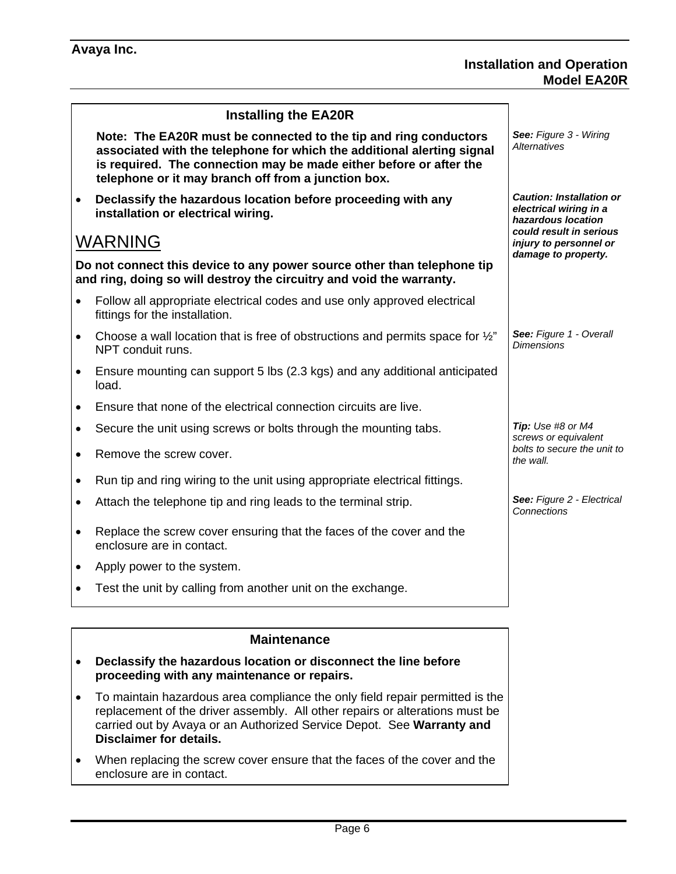|           | <b>Installing the EA20R</b>                                                                                                                                                                                                                                             |                                                                                 |  |
|-----------|-------------------------------------------------------------------------------------------------------------------------------------------------------------------------------------------------------------------------------------------------------------------------|---------------------------------------------------------------------------------|--|
|           | Note: The EA20R must be connected to the tip and ring conductors<br>associated with the telephone for which the additional alerting signal<br>is required. The connection may be made either before or after the<br>telephone or it may branch off from a junction box. | See: Figure 3 - Wiring<br><b>Alternatives</b>                                   |  |
| $\bullet$ | Declassify the hazardous location before proceeding with any<br>installation or electrical wiring.                                                                                                                                                                      | <b>Caution: Installation or</b><br>electrical wiring in a<br>hazardous location |  |
|           | <b>WARNING</b>                                                                                                                                                                                                                                                          | could result in serious<br>injury to personnel or<br>damage to property.        |  |
|           | Do not connect this device to any power source other than telephone tip<br>and ring, doing so will destroy the circuitry and void the warranty.                                                                                                                         |                                                                                 |  |
| $\bullet$ | Follow all appropriate electrical codes and use only approved electrical<br>fittings for the installation.                                                                                                                                                              |                                                                                 |  |
| $\bullet$ | Choose a wall location that is free of obstructions and permits space for 1/2"<br>NPT conduit runs.                                                                                                                                                                     | See: Figure 1 - Overall<br><b>Dimensions</b>                                    |  |
| $\bullet$ | Ensure mounting can support 5 lbs (2.3 kgs) and any additional anticipated<br>load.                                                                                                                                                                                     |                                                                                 |  |
| $\bullet$ | Ensure that none of the electrical connection circuits are live.                                                                                                                                                                                                        |                                                                                 |  |
| $\bullet$ | Secure the unit using screws or bolts through the mounting tabs.                                                                                                                                                                                                        | Tip: Use #8 or M4<br>screws or equivalent                                       |  |
| $\bullet$ | Remove the screw cover.                                                                                                                                                                                                                                                 | bolts to secure the unit to<br>the wall.                                        |  |
| $\bullet$ | Run tip and ring wiring to the unit using appropriate electrical fittings.                                                                                                                                                                                              |                                                                                 |  |
| $\bullet$ | Attach the telephone tip and ring leads to the terminal strip.                                                                                                                                                                                                          | See: Figure 2 - Electrical<br><b>Connections</b>                                |  |
| $\bullet$ | Replace the screw cover ensuring that the faces of the cover and the<br>enclosure are in contact.                                                                                                                                                                       |                                                                                 |  |
| $\bullet$ | Apply power to the system.                                                                                                                                                                                                                                              |                                                                                 |  |
|           | Test the unit by calling from another unit on the exchange.                                                                                                                                                                                                             |                                                                                 |  |
|           | <b>Maintenance</b>                                                                                                                                                                                                                                                      |                                                                                 |  |
| $\bullet$ | Declassify the hazardous location or disconnect the line before<br>proceeding with any maintenance or repairs.                                                                                                                                                          |                                                                                 |  |

- To maintain hazardous area compliance the only field repair permitted is the replacement of the driver assembly. All other repairs or alterations must be carried out by Avaya or an Authorized Service Depot. See **Warranty and Disclaimer for details.**
- When replacing the screw cover ensure that the faces of the cover and the enclosure are in contact.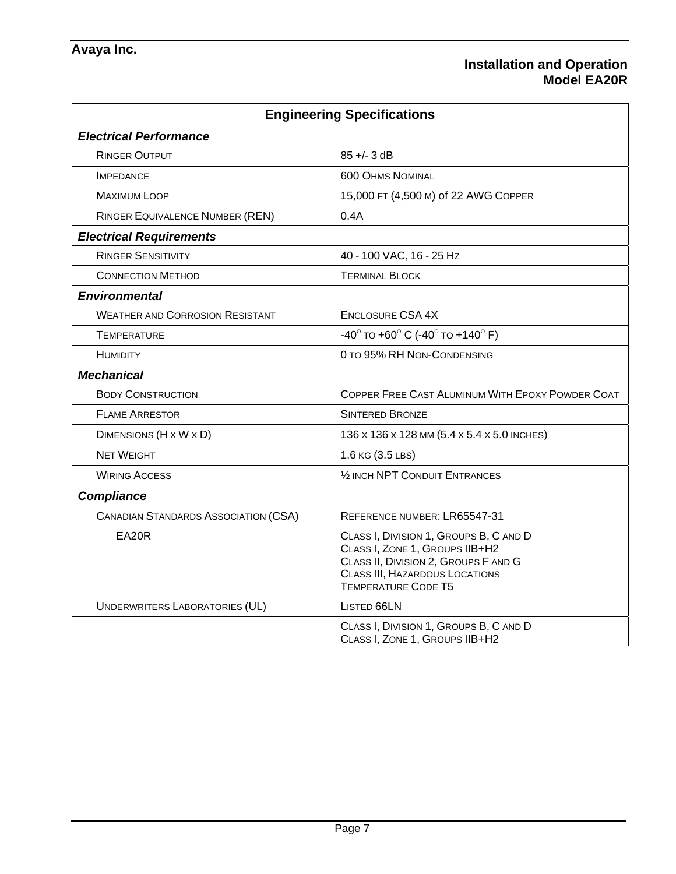### **Installation and Operation Model EA20R**

| <b>Engineering Specifications</b>           |                                                                                                                                                                                         |  |  |  |  |
|---------------------------------------------|-----------------------------------------------------------------------------------------------------------------------------------------------------------------------------------------|--|--|--|--|
| <b>Electrical Performance</b>               |                                                                                                                                                                                         |  |  |  |  |
| <b>RINGER OUTPUT</b>                        | $85 + - 3$ dB                                                                                                                                                                           |  |  |  |  |
| <b>IMPEDANCE</b>                            | <b>600 OHMS NOMINAL</b>                                                                                                                                                                 |  |  |  |  |
| <b>MAXIMUM LOOP</b>                         | 15,000 FT (4,500 M) of 22 AWG COPPER                                                                                                                                                    |  |  |  |  |
| <b>RINGER EQUIVALENCE NUMBER (REN)</b>      | 0.4A                                                                                                                                                                                    |  |  |  |  |
| <b>Electrical Requirements</b>              |                                                                                                                                                                                         |  |  |  |  |
| <b>RINGER SENSITIVITY</b>                   | 40 - 100 VAC, 16 - 25 Hz                                                                                                                                                                |  |  |  |  |
| <b>CONNECTION METHOD</b>                    | <b>TERMINAL BLOCK</b>                                                                                                                                                                   |  |  |  |  |
| <b>Environmental</b>                        |                                                                                                                                                                                         |  |  |  |  |
| <b>WEATHER AND CORROSION RESISTANT</b>      | <b>ENCLOSURE CSA 4X</b>                                                                                                                                                                 |  |  |  |  |
| <b>TEMPERATURE</b>                          | $-40^{\circ}$ TO $+60^{\circ}$ C ( $-40^{\circ}$ TO $+140^{\circ}$ F)                                                                                                                   |  |  |  |  |
| <b>HUMIDITY</b>                             | 0 TO 95% RH NON-CONDENSING                                                                                                                                                              |  |  |  |  |
| <b>Mechanical</b>                           |                                                                                                                                                                                         |  |  |  |  |
| <b>BODY CONSTRUCTION</b>                    | COPPER FREE CAST ALUMINUM WITH EPOXY POWDER COAT                                                                                                                                        |  |  |  |  |
| <b>FLAME ARRESTOR</b>                       | <b>SINTERED BRONZE</b>                                                                                                                                                                  |  |  |  |  |
| DIMENSIONS (H x W x D)                      | 136 x 136 x 128 MM (5.4 x 5.4 x 5.0 INCHES)                                                                                                                                             |  |  |  |  |
| <b>NET WEIGHT</b>                           | 1.6 KG (3.5 LBS)                                                                                                                                                                        |  |  |  |  |
| <b>WIRING ACCESS</b>                        | 1/2 INCH NPT CONDUIT ENTRANCES                                                                                                                                                          |  |  |  |  |
| <b>Compliance</b>                           |                                                                                                                                                                                         |  |  |  |  |
| <b>CANADIAN STANDARDS ASSOCIATION (CSA)</b> | REFERENCE NUMBER: LR65547-31                                                                                                                                                            |  |  |  |  |
| EA20R                                       | CLASS I, DIVISION 1, GROUPS B, C AND D<br>CLASS I, ZONE 1, GROUPS IIB+H2<br>CLASS II, DIVISION 2, GROUPS F AND G<br><b>CLASS III, HAZARDOUS LOCATIONS</b><br><b>TEMPERATURE CODE T5</b> |  |  |  |  |
| <b>UNDERWRITERS LABORATORIES (UL)</b>       | LISTED 66LN                                                                                                                                                                             |  |  |  |  |
|                                             | CLASS I, DIVISION 1, GROUPS B, C AND D<br>CLASS I, ZONE 1, GROUPS IIB+H2                                                                                                                |  |  |  |  |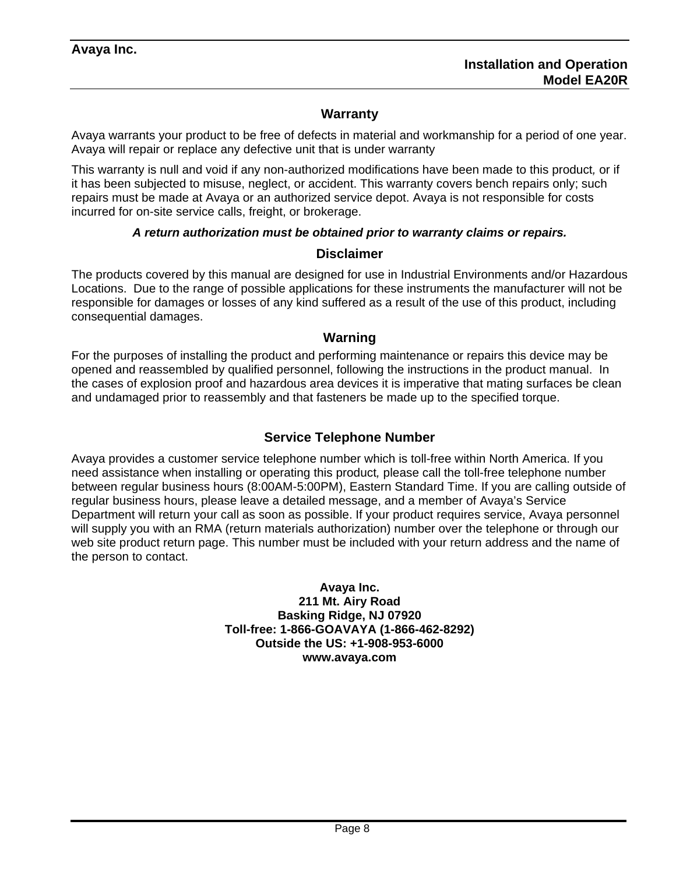# **Warranty**

Avaya warrants your product to be free of defects in material and workmanship for a period of one year. Avaya will repair or replace any defective unit that is under warranty

This warranty is null and void if any non-authorized modifications have been made to this product*,* or if it has been subjected to misuse, neglect, or accident. This warranty covers bench repairs only; such repairs must be made at Avaya or an authorized service depot. Avaya is not responsible for costs incurred for on-site service calls, freight, or brokerage.

### *A return authorization must be obtained prior to warranty claims or repairs.*

### **Disclaimer**

The products covered by this manual are designed for use in Industrial Environments and/or Hazardous Locations. Due to the range of possible applications for these instruments the manufacturer will not be responsible for damages or losses of any kind suffered as a result of the use of this product, including consequential damages.

#### **Warning**

For the purposes of installing the product and performing maintenance or repairs this device may be opened and reassembled by qualified personnel, following the instructions in the product manual. In the cases of explosion proof and hazardous area devices it is imperative that mating surfaces be clean and undamaged prior to reassembly and that fasteners be made up to the specified torque.

### **Service Telephone Number**

Avaya provides a customer service telephone number which is toll-free within North America. If you need assistance when installing or operating this product*,* please call the toll-free telephone number between regular business hours (8:00AM-5:00PM), Eastern Standard Time. If you are calling outside of regular business hours, please leave a detailed message, and a member of Avaya's Service Department will return your call as soon as possible. If your product requires service, Avaya personnel will supply you with an RMA (return materials authorization) number over the telephone or through our web site product return page. This number must be included with your return address and the name of the person to contact.

> **Avaya Inc. 211 Mt. Airy Road Basking Ridge, NJ 07920 Toll-free: 1-866-GOAVAYA (1-866-462-8292) Outside the US: +1-908-953-6000 www.avaya.com**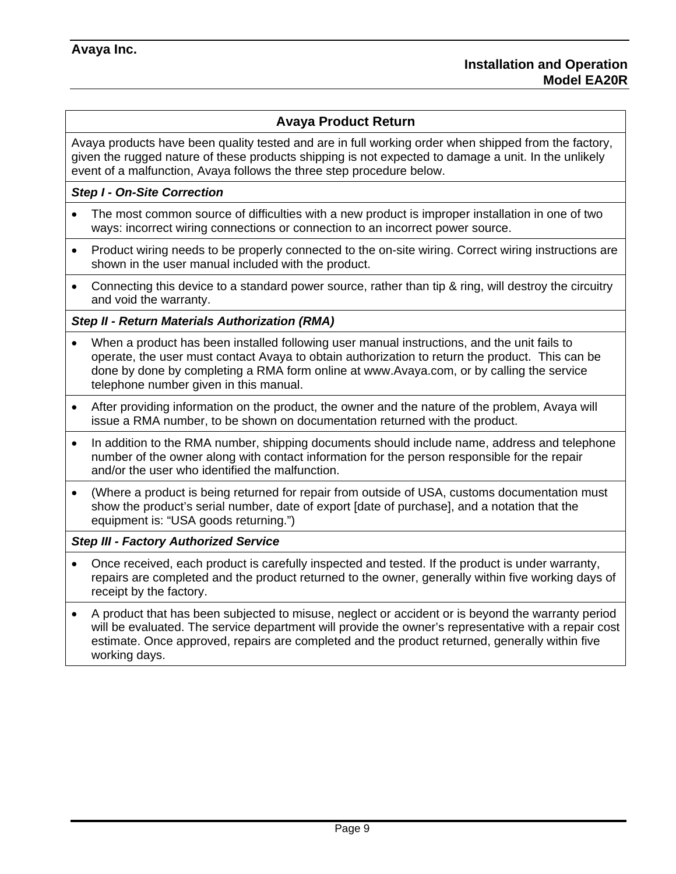# **Avaya Product Return**

Avaya products have been quality tested and are in full working order when shipped from the factory, given the rugged nature of these products shipping is not expected to damage a unit. In the unlikely event of a malfunction, Avaya follows the three step procedure below.

### *Step I - On-Site Correction*

- The most common source of difficulties with a new product is improper installation in one of two ways: incorrect wiring connections or connection to an incorrect power source.
- Product wiring needs to be properly connected to the on-site wiring. Correct wiring instructions are shown in the user manual included with the product.
- Connecting this device to a standard power source, rather than tip & ring, will destroy the circuitry and void the warranty.

### *Step II - Return Materials Authorization (RMA)*

- When a product has been installed following user manual instructions, and the unit fails to operate, the user must contact Avaya to obtain authorization to return the product. This can be done by done by completing a RMA form online at www.Avaya.com, or by calling the service telephone number given in this manual.
- After providing information on the product, the owner and the nature of the problem, Avaya will issue a RMA number, to be shown on documentation returned with the product.
- In addition to the RMA number, shipping documents should include name, address and telephone number of the owner along with contact information for the person responsible for the repair and/or the user who identified the malfunction.
- (Where a product is being returned for repair from outside of USA, customs documentation must show the product's serial number, date of export [date of purchase], and a notation that the equipment is: "USA goods returning.")

#### *Step III - Factory Authorized Service*

- Once received, each product is carefully inspected and tested. If the product is under warranty, repairs are completed and the product returned to the owner, generally within five working days of receipt by the factory.
- A product that has been subjected to misuse, neglect or accident or is beyond the warranty period will be evaluated. The service department will provide the owner's representative with a repair cost estimate. Once approved, repairs are completed and the product returned, generally within five working days.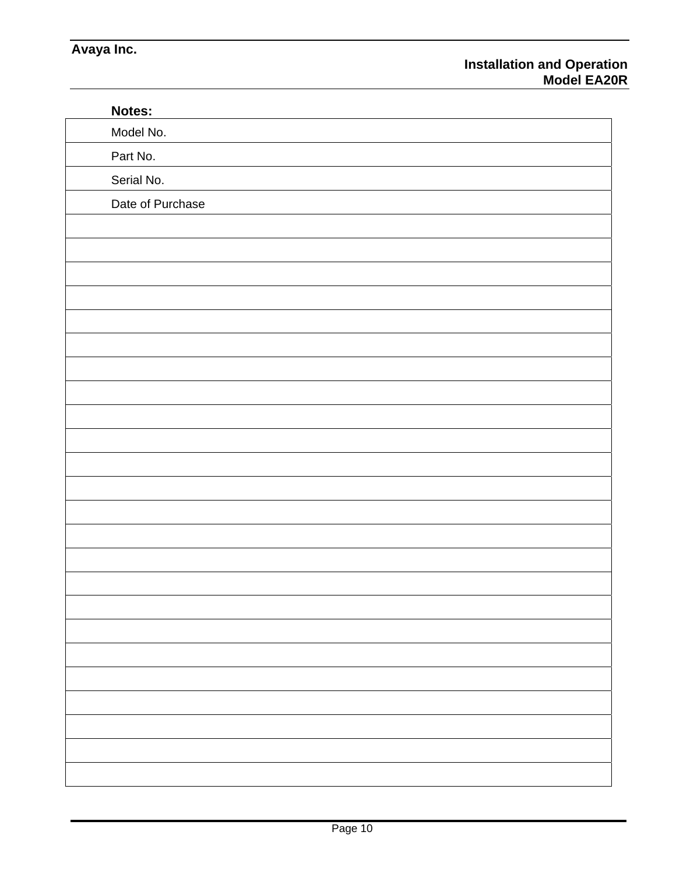| Notes:           |  |
|------------------|--|
| Model No.        |  |
| Part No.         |  |
| Serial No.       |  |
| Date of Purchase |  |
|                  |  |
|                  |  |
|                  |  |
|                  |  |
|                  |  |
|                  |  |
|                  |  |
|                  |  |
|                  |  |
|                  |  |
|                  |  |
|                  |  |
|                  |  |
|                  |  |
|                  |  |
|                  |  |
|                  |  |
|                  |  |
|                  |  |
|                  |  |
|                  |  |
|                  |  |
|                  |  |
|                  |  |
|                  |  |